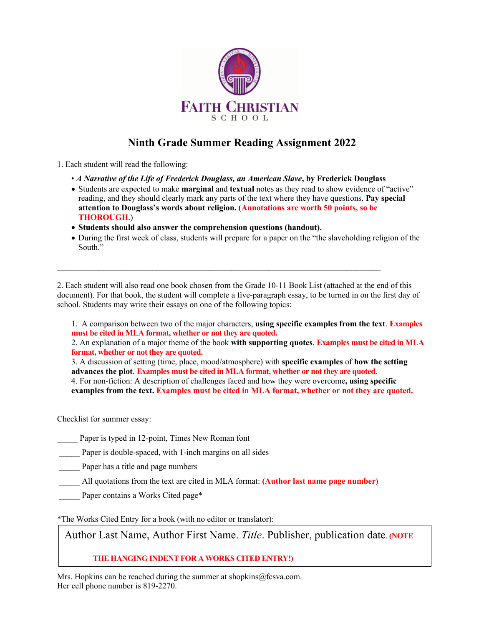

# **Ninth Grade Summer Reading Assignment 2022**

1. Each student will read the following:

- *A Narrative of the Life of Frederick Douglass, an American Slave***, by Frederick Douglass**
- Students are expected to make **marginal** and **textual** notes as they read to show evidence of "active" reading, and they should clearly mark any parts of the text where they have questions. **Pay special attention to Douglass's words about religion.** (**Annotations are worth 50 points, so be THOROUGH.**)
- **Students should also answer the comprehension questions (handout).**
- During the first week of class, students will prepare for a paper on the "the slaveholding religion of the South."

2. Each student will also read one book chosen from the Grade 10-11 Book List (attached at the end of this document). For that book, the student will complete a five-paragraph essay, to be turned in on the first day of school. Students may write their essays on one of the following topics:

 $\mathcal{L}_\text{max}$ 

1. A comparison between two of the major characters, **using specific examples from the text**. **Examples must be cited in MLA format, whether or not they are quoted.**

2. An explanation of a major theme of the book **with supporting quotes**. **Examples must be cited in MLA format, whether or not they are quoted.**

3. A discussion of setting (time, place, mood/atmosphere) with **specific examples** of **how the setting advances the plot**. **Examples must be cited in MLA format, whether or not they are quoted.** 4. For non-fiction: A description of challenges faced and how they were overcome**, using specific examples from the text. Examples must be cited in MLA format, whether or not they are quoted.**

Checklist for summer essay:

Paper is typed in 12-point, Times New Roman font

Paper is double-spaced, with 1-inch margins on all sides

\_\_\_\_\_ Paper has a title and page numbers

- \_\_\_\_\_ All quotations from the text are cited in MLA format: **(Author last name page number)**
- Paper contains a Works Cited page\*

\*The Works Cited Entry for a book (with no editor or translator):

Author Last Name, Author First Name. *Title*. Publisher, publication date. **(NOTE** 

**THE HANGING INDENT FOR A WORKS CITED ENTRY!)**

Mrs. Hopkins can be reached during the summer at shopkins $@$ fcsva.com. Her cell phone number is 819-2270.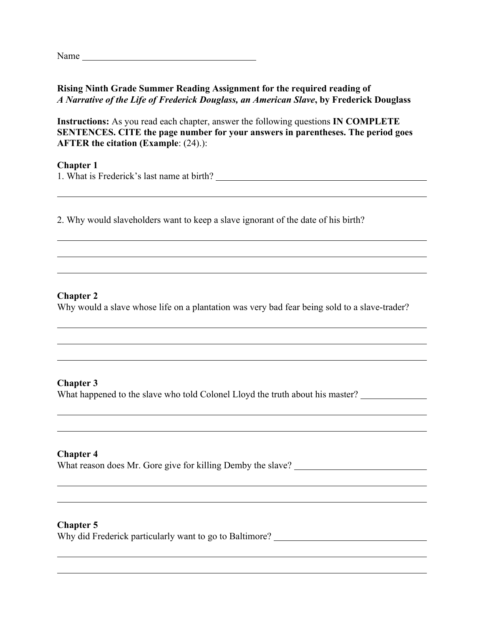Name

## **Rising Ninth Grade Summer Reading Assignment for the required reading of**  *A Narrative of the Life of Frederick Douglass, an American Slave***, by Frederick Douglass**

**Instructions:** As you read each chapter, answer the following questions **IN COMPLETE SENTENCES. CITE the page number for your answers in parentheses. The period goes AFTER the citation (Example**: (24).):

**Chapter 1** 1. What is Frederick's last name at birth?

2. Why would slaveholders want to keep a slave ignorant of the date of his birth?

### **Chapter 2**

Why would a slave whose life on a plantation was very bad fear being sold to a slave-trader?

### **Chapter 3**

What happened to the slave who told Colonel Lloyd the truth about his master?

### **Chapter 4**

What reason does Mr. Gore give for killing Demby the slave?

#### **Chapter 5**

Why did Frederick particularly want to go to Baltimore? \_\_\_\_\_\_\_\_\_\_\_\_\_\_\_\_\_\_\_\_\_\_\_\_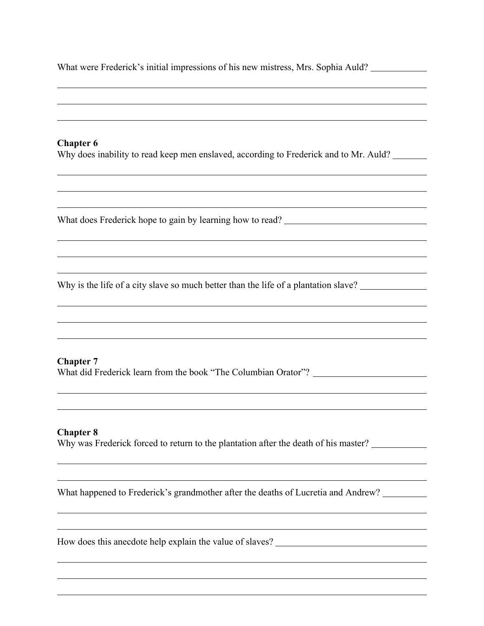What were Frederick's initial impressions of his new mistress, Mrs. Sophia Auld?

#### **Chapter 6**

Why does inability to read keep men enslaved, according to Frederick and to Mr. Auld?

What does Frederick hope to gain by learning how to read? \_\_\_\_\_\_\_\_\_\_\_\_\_\_\_\_\_\_\_\_\_\_\_

Why is the life of a city slave so much better than the life of a plantation slave?

### **Chapter 7**

What did Frederick learn from the book "The Columbian Orator"? \_\_\_\_\_\_\_\_\_\_\_\_\_\_\_\_\_

#### **Chapter 8**

Why was Frederick forced to return to the plantation after the death of his master?

What happened to Frederick's grandmother after the deaths of Lucretia and Andrew?

How does this anecdote help explain the value of slaves?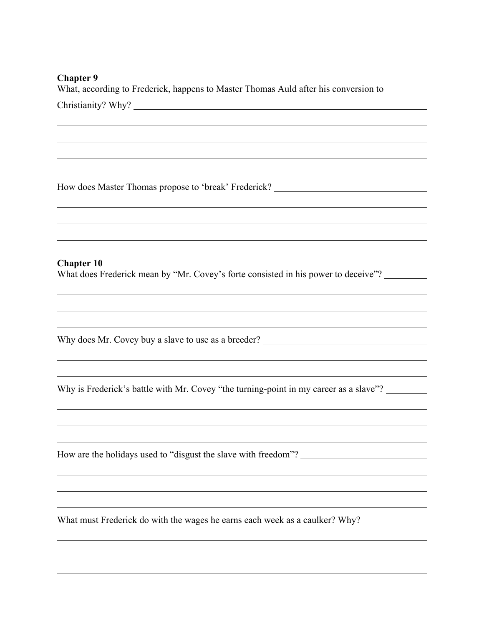#### **Chapter 9**

What, according to Frederick, happens to Master Thomas Auld after his conversion to

How does Master Thomas propose to 'break' Frederick?

#### **Chapter 10**

What does Frederick mean by "Mr. Covey's forte consisted in his power to deceive"?

Why does Mr. Covey buy a slave to use as a breeder? \_\_\_\_\_\_\_\_\_\_\_\_\_\_\_\_\_\_\_\_\_\_\_\_\_\_\_\_\_

Why is Frederick's battle with Mr. Covey "the turning-point in my career as a slave"?

How are the holidays used to "disgust the slave with freedom"?

What must Frederick do with the wages he earns each week as a caulker? Why?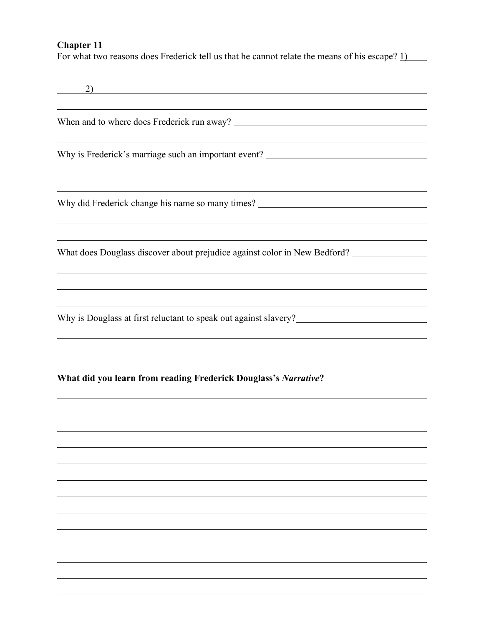# **Chapter 11**

For what two reasons does Frederick tell us that he cannot relate the means of his escape? 1)

| 2)                                                                                      |
|-----------------------------------------------------------------------------------------|
|                                                                                         |
| Why is Frederick's marriage such an important event? ____________________________       |
| Why did Frederick change his name so many times? ________________________________       |
| What does Douglass discover about prejudice against color in New Bedford? _____________ |
|                                                                                         |
|                                                                                         |
| What did you learn from reading Frederick Douglass's Narrative? ________________        |
|                                                                                         |
|                                                                                         |
|                                                                                         |
|                                                                                         |
|                                                                                         |
|                                                                                         |